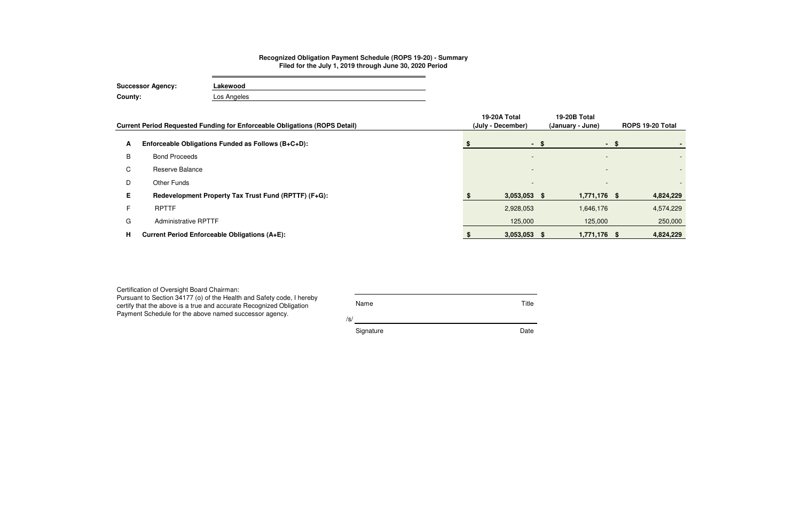| Certification of Oversight Board Chairman:<br>Pursuant to Section 34177 (o) of the Health and Safety code, I hereby<br>certify that the above is a true and accurate Recognized Obligation<br>Payment Schedule for the above named successor agency. | Name      | Title |
|------------------------------------------------------------------------------------------------------------------------------------------------------------------------------------------------------------------------------------------------------|-----------|-------|
|                                                                                                                                                                                                                                                      | /s/       |       |
|                                                                                                                                                                                                                                                      | Signature | Date  |

|    | Current Period Requested Funding for Enforceable Obligations (ROPS Detail) | 19-20A Total<br>(July - December) |      | 19-20B Total<br>(January - June) |       | ROPS 19-20 Total |
|----|----------------------------------------------------------------------------|-----------------------------------|------|----------------------------------|-------|------------------|
| A  | Enforceable Obligations Funded as Follows (B+C+D):                         |                                   | - \$ |                                  | $- S$ |                  |
| B  | <b>Bond Proceeds</b>                                                       | $\overline{\phantom{a}}$          |      | $\overline{\phantom{a}}$         |       |                  |
| C  | Reserve Balance                                                            | $\overline{\phantom{a}}$          |      |                                  |       |                  |
| D  | <b>Other Funds</b>                                                         | $\overline{\phantom{a}}$          |      | $\overline{\phantom{0}}$         |       |                  |
| Е. | Redevelopment Property Tax Trust Fund (RPTTF) (F+G):                       | $3,053,053$ \$                    |      | 1,771,176 \$                     |       | 4,824,229        |
|    | <b>RPTTF</b>                                                               | 2,928,053                         |      | 1,646,176                        |       | 4,574,229        |
| G  | <b>Administrative RPTTF</b>                                                | 125,000                           |      | 125,000                          |       | 250,000          |
| н  | <b>Current Period Enforceable Obligations (A+E):</b>                       | $3,053,053$ \$                    |      | 1,771,176 \$                     |       | 4,824,229        |

## **Recognized Obligation Payment Schedule (ROPS 19-20) - Summary Filed for the July 1, 2019 through June 30, 2020 Period**

| <b>Successor Agency:</b> | Lakewood    |  |  |  |  |  |  |
|--------------------------|-------------|--|--|--|--|--|--|
| County:                  | Los Angeles |  |  |  |  |  |  |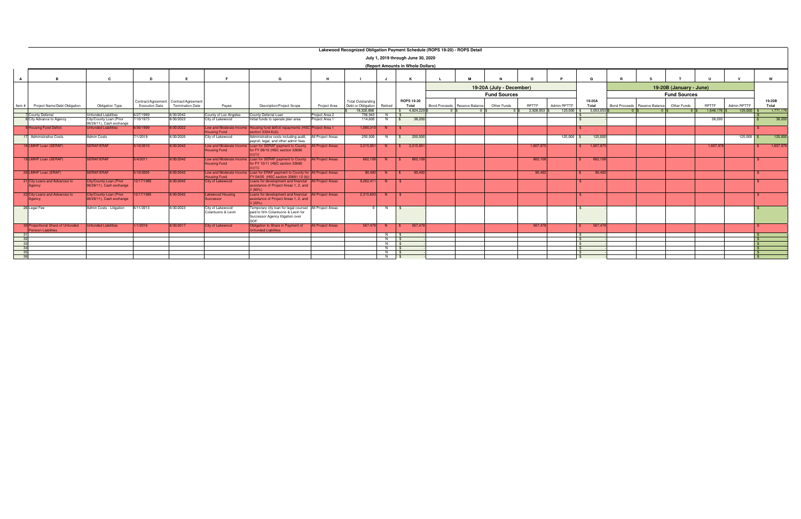|                 | Lakewood Recognized Obligation Payment Schedule (ROPS 19-20) - ROPS Detail |                                                     |                       |                                       |                                              |                                                                                               |                          |                          |                            |                                    |                               |                          |              |              |               |                                         |                         |           |              |       |           |
|-----------------|----------------------------------------------------------------------------|-----------------------------------------------------|-----------------------|---------------------------------------|----------------------------------------------|-----------------------------------------------------------------------------------------------|--------------------------|--------------------------|----------------------------|------------------------------------|-------------------------------|--------------------------|--------------|--------------|---------------|-----------------------------------------|-------------------------|-----------|--------------|-------|-----------|
|                 |                                                                            |                                                     |                       |                                       |                                              |                                                                                               |                          |                          |                            | July 1, 2019 through June 30, 2020 |                               |                          |              |              |               |                                         |                         |           |              |       |           |
|                 |                                                                            |                                                     |                       |                                       |                                              |                                                                                               |                          |                          |                            | (Report Amounts in Whole Dollars)  |                               |                          |              |              |               |                                         |                         |           |              |       |           |
|                 |                                                                            |                                                     |                       |                                       |                                              |                                                                                               |                          |                          |                            |                                    |                               |                          |              |              |               |                                         |                         |           |              |       |           |
|                 |                                                                            |                                                     | D                     |                                       |                                              | G<br>н                                                                                        |                          |                          |                            |                                    |                               |                          |              |              |               |                                         | W                       |           |              |       |           |
|                 |                                                                            |                                                     |                       |                                       |                                              |                                                                                               |                          |                          |                            |                                    |                               | 19-20A (July - December) |              |              |               |                                         | 19-20B (January - June) |           |              |       |           |
|                 |                                                                            |                                                     |                       |                                       |                                              |                                                                                               |                          |                          |                            |                                    |                               | <b>Fund Sources</b>      |              |              |               |                                         | <b>Fund Sources</b>     |           |              |       |           |
|                 |                                                                            |                                                     |                       | Contract/Agreement Contract/Agreement |                                              |                                                                                               |                          | <b>Total Outstanding</b> |                            | <b>ROPS 19-20</b>                  |                               | 19-20A                   |              |              | 19-20B        |                                         |                         |           |              |       |           |
| ltem #          | Project Name/Debt Obligation                                               | <b>Obligation Type</b>                              | <b>Execution Date</b> | <b>Termination Date</b>               | Payee                                        | <b>Description/Project Scope</b>                                                              | Project Area             | Debt or Obligation       | Retired                    | Total                              | Bond Proceeds Reserve Balance | Other Funds              | RPTTF        | Admin RPTTF  | Total         | <b>Bond Proceeds</b><br>Reserve Balance | Other Funds             | RPTTF     | Admin RPTTF  | Total |           |
|                 |                                                                            |                                                     |                       |                                       |                                              |                                                                                               |                          | 18.320.896               |                            | \$ 4.824.229                       |                               |                          | 2,928,053 \$ | $125,000$ \$ | 3,053,053     |                                         |                         | 1,646,176 | $125,000$ \$ |       | 1,771,176 |
|                 | County Deferral                                                            | <b>Jnfunded Liabilities</b>                         | 6/27/1989             | 6/30/2042                             | County of Los Angeles                        | County Deferral Loan                                                                          | Project Area 2           | 756,943                  | $N$ $\sim$ 1 $\frac{8}{3}$ |                                    |                               |                          |              |              |               |                                         |                         |           |              |       |           |
|                 | 8 City Advance to Agency                                                   | City/County Loan (Prior<br>06/28/11), Cash exchange | 7/10/1973             | 6/30/2023                             | City of Lakewood                             | Initial funds to operate plan area                                                            | Project Area 1           | 114,600                  | N                          | 38,200<br>$\mathbb{S}$             |                               |                          |              |              | $\mathcal{S}$ |                                         |                         | 38,200    |              |       | 38,200    |
|                 | 9 Housing Fund Deficit                                                     | <b>Unfunded Liabilities</b>                         | 6/30/1999             | 6/30/2022                             | Low and Moderate Inco                        | Housing fund deficit repayments (HSC Project Area 1                                           |                          | 1.085.310                | - N                        |                                    |                               |                          |              |              |               |                                         |                         |           |              |       |           |
|                 | 17 Administrative Costs                                                    | <b>Admin Costs</b>                                  | 7/1/2019              | 6/30/2020                             | <b>Housing Fund</b><br>City of Lakewood      | section 3334.6(d))                                                                            | All Project Areas        | 250,000                  |                            | 250,000<br>$\mathsf{S}$            |                               |                          |              | $125,000$ \$ | 125,000       |                                         |                         |           | $125,000$ \$ |       | 125,000   |
|                 |                                                                            |                                                     |                       |                                       |                                              | Administrative costs including audit,<br>payroll, legal, and other admin fees.                |                          |                          | N                          |                                    |                               |                          |              |              |               |                                         |                         |           |              |       |           |
|                 | 18 LMIHF Loan (SERAF)                                                      | <b>SERAF/ERAF</b>                                   | 5/10/2010             | 6/30/2042                             | Low and Moderate Income                      | Loan for SERAF payment to County   All Project Areas                                          |                          | 3.215.951                |                            | N \$ 3.215.951                     |                               |                          | 1.607.975    |              | 1,607,975     |                                         |                         | 1.607.976 |              |       | 1,607,976 |
|                 |                                                                            |                                                     |                       |                                       | <b>Housing Fund</b>                          | for FY 09/10 (HSC section 33690<br>c)(1)                                                      |                          |                          |                            |                                    |                               |                          |              |              |               |                                         |                         |           |              |       |           |
|                 | 19 LMIHF Loan (SERAF)                                                      | <b>SERAF/ERAF</b>                                   | 5/4/2011              | 6/30/2042                             | Low and Moderate Incon                       | Loan for SERAF payment to County                                                              | <b>All Project Areas</b> | 662.108                  | N S                        | 662,108                            |                               |                          | 662,108      |              | 662,108       |                                         |                         |           |              |       |           |
|                 |                                                                            |                                                     |                       |                                       | <b>Housing Fund</b>                          | for FY 10/11 (HSC section 33690                                                               |                          |                          |                            |                                    |                               |                          |              |              |               |                                         |                         |           |              |       |           |
|                 | 20 LMIHF Loan (ERAF)                                                       | <b>SERAF/ERAF</b>                                   | 5/10/2005             | 6/30/2042                             | Low and Moderate Inco<br><b>Housing Fund</b> | Loan for ERAF payment to County for   All Project Areas<br>FY 04/05 (HSC section 33681.12 (b) |                          |                          | $90,492$ N \$              | 90,492                             |                               |                          | 90,492       |              | 90,492        |                                         |                         |           |              |       |           |
|                 | 21 City Loans and Advances to                                              | City/County Loan (Prior                             | 12/17/1985            | 6/30/2042                             | <b>City of Lakewood</b>                      | Loans for development and financial All Project Areas                                         |                          | 9,262,411                | N                          |                                    |                               |                          |              |              |               |                                         |                         |           |              |       |           |
|                 | Agency                                                                     | 06/28/11), Cash exchange                            |                       |                                       |                                              | assistance of Project Areas 1, 2, and<br>$(80\%)$                                             |                          |                          |                            |                                    |                               |                          |              |              |               |                                         |                         |           |              |       |           |
|                 | 22 City Loans and Advances to                                              | <b>City/County Loan (Prior</b>                      | 12/17/1985            | 6/30/2042                             | <b>Lakewood Housing</b>                      | Loans for development and financial All Project Areas                                         |                          | 2.315.603                | - N -                      | $\mathbf{s}$                       |                               |                          |              |              |               |                                         |                         |           |              |       |           |
|                 | Agency                                                                     | 06/28/11), Cash exchange                            |                       |                                       | Successor                                    | assistance of Project Areas 1, 2, and<br>(20%)                                                |                          |                          |                            |                                    |                               |                          |              |              |               |                                         |                         |           |              |       |           |
|                 | 26 Legal Fee                                                               | Admin Costs - Litigation                            | 6/11/2013             | 6/30/2023                             | City of Lakewood/                            | Temporary city loan for legal counsel                                                         | All Project Areas        |                          | N                          |                                    |                               |                          |              |              |               |                                         |                         |           |              |       |           |
|                 |                                                                            |                                                     |                       |                                       | Colantuono & Levin                           | paid to firm Colantuono & Levin for                                                           |                          |                          |                            |                                    |                               |                          |              |              |               |                                         |                         |           |              |       |           |
|                 |                                                                            |                                                     |                       |                                       |                                              | Successor Agency litigation over<br><b>DOF</b>                                                |                          |                          |                            |                                    |                               |                          |              |              |               |                                         |                         |           |              |       |           |
|                 | 30 Proportional Share of Unfunded<br><b>Pension Liabilities</b>            | <b>Infunded Liabilities</b>                         | 1/1/2016              | 6/30/2017                             | <b>City of Lakewood</b>                      | Obligation to Share in Payment of<br><b>Infunded Liabilities</b>                              | <b>All Project Areas</b> | 567.478                  | $N$ $\mid$ \$              | 567,478                            |                               |                          | 567,478      |              | 567,478       |                                         |                         |           |              |       |           |
| 31              |                                                                            |                                                     |                       |                                       |                                              |                                                                                               |                          |                          | $N$ \$                     |                                    |                               |                          |              |              | - \$          |                                         |                         |           |              |       |           |
| 32              |                                                                            |                                                     |                       |                                       |                                              |                                                                                               |                          |                          |                            |                                    |                               |                          |              |              | $\mathcal{F}$ |                                         |                         |           |              |       |           |
| 33 <sup>3</sup> |                                                                            |                                                     |                       |                                       |                                              |                                                                                               |                          |                          | $N$ $\sqrt{S}$             |                                    |                               |                          |              |              | $\mathcal{R}$ |                                         |                         |           |              |       |           |
| 34              |                                                                            |                                                     |                       |                                       |                                              |                                                                                               |                          |                          | N   \$                     |                                    |                               |                          |              |              | $\mathbb{R}$  |                                         |                         |           |              |       |           |
| 35              |                                                                            |                                                     |                       |                                       |                                              |                                                                                               |                          |                          | $N$ $\sqrt{S}$             |                                    |                               |                          |              |              | $\mathbb{R}$  |                                         |                         |           |              |       |           |
| 36              |                                                                            |                                                     |                       |                                       |                                              |                                                                                               |                          |                          | $N$ $S$                    |                                    |                               |                          |              |              | $\mathbb{R}$  |                                         |                         |           |              |       |           |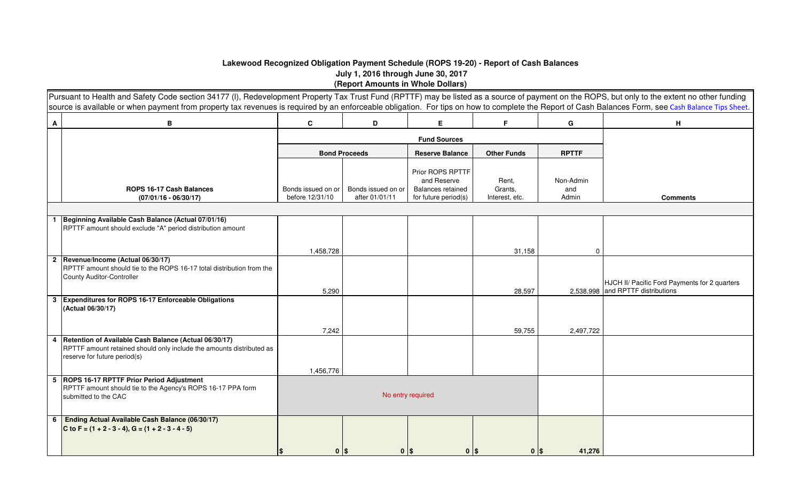## **Lakewood Recognized Obligation Payment Schedule (ROPS 19-20) - Report of Cash Balances July 1, 2016 through June 30, 2017 (Report Amounts in Whole Dollars)**

|   | Pursuant to Health and Safety Code section 34177 (I), Redevelopment Property Tax Trust Fund (RPTTF) may be listed as a source of payment on the ROPS, but only to the extent no other funding<br>source is available or when payment from property tax revenues is required by an enforceable obligation. For tips on how to complete the Report of Cash Balances Form, see Cash Balance Tips Sheet. |                                       |                                      |                                                                                     |                                    |                           |                                               |
|---|------------------------------------------------------------------------------------------------------------------------------------------------------------------------------------------------------------------------------------------------------------------------------------------------------------------------------------------------------------------------------------------------------|---------------------------------------|--------------------------------------|-------------------------------------------------------------------------------------|------------------------------------|---------------------------|-----------------------------------------------|
| A | в                                                                                                                                                                                                                                                                                                                                                                                                    | C                                     | D                                    | E.                                                                                  | F.                                 | G                         | н                                             |
|   |                                                                                                                                                                                                                                                                                                                                                                                                      |                                       |                                      |                                                                                     |                                    |                           |                                               |
|   |                                                                                                                                                                                                                                                                                                                                                                                                      |                                       | <b>Bond Proceeds</b>                 | <b>Reserve Balance</b>                                                              | <b>Other Funds</b>                 | <b>RPTTF</b>              |                                               |
|   | <b>ROPS 16-17 Cash Balances</b><br>$(07/01/16 - 06/30/17)$                                                                                                                                                                                                                                                                                                                                           | Bonds issued on or<br>before 12/31/10 | Bonds issued on or<br>after 01/01/11 | Prior ROPS RPTTF<br>and Reserve<br><b>Balances retained</b><br>for future period(s) | Rent,<br>Grants,<br>Interest, etc. | Non-Admin<br>and<br>Admin | <b>Comments</b>                               |
|   |                                                                                                                                                                                                                                                                                                                                                                                                      |                                       |                                      |                                                                                     |                                    |                           |                                               |
|   | Beginning Available Cash Balance (Actual 07/01/16)<br>RPTTF amount should exclude "A" period distribution amount                                                                                                                                                                                                                                                                                     |                                       |                                      |                                                                                     |                                    |                           |                                               |
|   |                                                                                                                                                                                                                                                                                                                                                                                                      | 1,458,728                             |                                      |                                                                                     | 31,158                             | $\Omega$                  |                                               |
|   | 2 Revenue/Income (Actual 06/30/17)<br>RPTTF amount should tie to the ROPS 16-17 total distribution from the<br><b>County Auditor-Controller</b>                                                                                                                                                                                                                                                      |                                       |                                      |                                                                                     |                                    |                           | HJCH II/ Pacific Ford Payments for 2 quarters |
|   |                                                                                                                                                                                                                                                                                                                                                                                                      | 5,290                                 |                                      |                                                                                     | 28,597                             |                           | 2,538,998 and RPTTF distributions             |
|   | 3 Expenditures for ROPS 16-17 Enforceable Obligations<br>(Actual 06/30/17)                                                                                                                                                                                                                                                                                                                           |                                       |                                      |                                                                                     |                                    |                           |                                               |
|   |                                                                                                                                                                                                                                                                                                                                                                                                      | 7,242                                 |                                      |                                                                                     | 59,755                             | 2,497,722                 |                                               |
| 4 | Retention of Available Cash Balance (Actual 06/30/17)<br>RPTTF amount retained should only include the amounts distributed as<br>reserve for future period(s)                                                                                                                                                                                                                                        |                                       |                                      |                                                                                     |                                    |                           |                                               |
|   |                                                                                                                                                                                                                                                                                                                                                                                                      | 1,456,776                             |                                      |                                                                                     |                                    |                           |                                               |
|   | 5 ROPS 16-17 RPTTF Prior Period Adjustment<br>RPTTF amount should tie to the Agency's ROPS 16-17 PPA form<br>submitted to the CAC                                                                                                                                                                                                                                                                    |                                       | No entry required                    |                                                                                     |                                    |                           |                                               |
| 6 | Ending Actual Available Cash Balance (06/30/17)<br>C to F = $(1 + 2 - 3 - 4)$ , G = $(1 + 2 - 3 - 4 - 5)$                                                                                                                                                                                                                                                                                            | $0$   \$                              | $0$   \$                             | $0$  \$                                                                             | $0$ $\sqrt{s}$                     | 41,276                    |                                               |